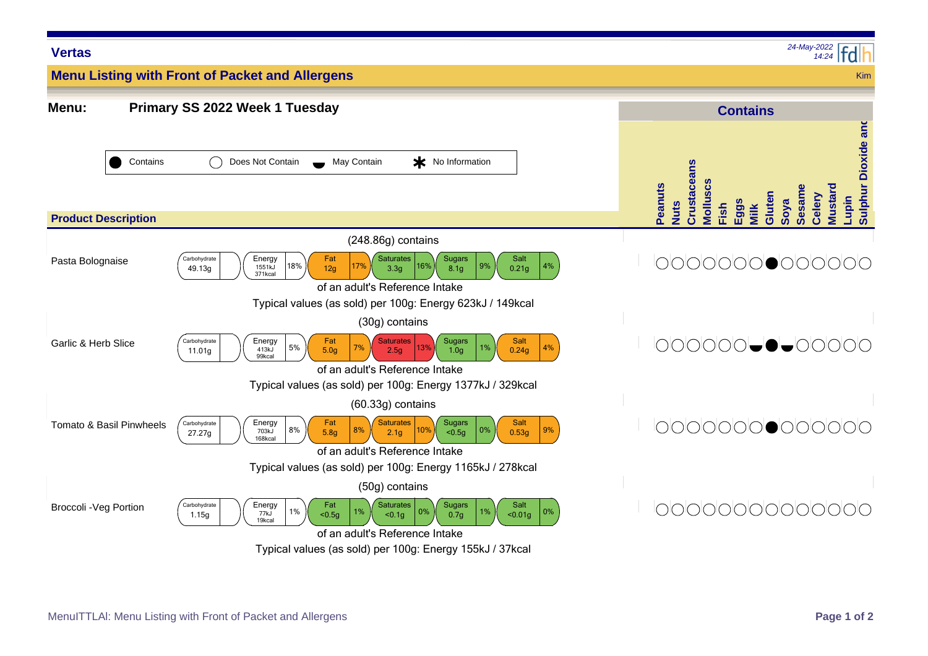